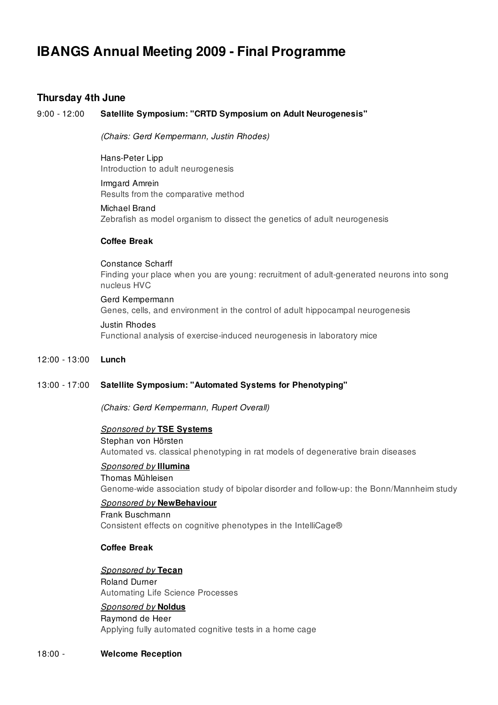# IBANGS Annual Meeting 2009 - Final Programme

# Thursday 4th June

## 9:00 - 12:00 Satellite Symposium: "CRTD Symposium on Adult Neurogenesis"

(Chairs: Gerd Kempermann, Justin Rhodes)

Hans-Peter Lipp Introduction to adult neurogenesis

Irmgard Amrein Results from the comparative method

Michael Brand Zebrafish as model organism to dissect the genetics of adult neurogenesis

#### Coffee Break

Constance Scharff Finding your place when you are young: recruitment of adult-generated neurons into song nucleus HVC

Gerd Kempermann Genes, cells, and environment in the control of adult hippocampal neurogenesis

# Justin Rhodes Functional analysis of exercise-induced neurogenesis in laboratory mice

#### 12:00 - 13:00 Lunch

#### 13:00 - 17:00 Satellite Symposium: "Automated Systems for Phenotyping"

(Chairs: Gerd Kempermann, Rupert Overall)

#### Sponsored by TSE Systems

Stephan von Hörsten Automated vs. classical phenotyping in rat models of degenerative brain diseases

# Sponsored by Illumina

Thomas Mühleisen Genome-wide association study of bipolar disorder and follow-up: the Bonn/Mannheim study

#### Sponsored by NewBehaviour

Frank Buschmann Consistent effects on cognitive phenotypes in the IntelliCage®

# Coffee Break

#### Sponsored by Tecan

Roland Durner Automating Life Science Processes

# Sponsored by Noldus

Raymond de Heer Applying fully automated cognitive tests in a home cage

#### 18:00 - Welcome Reception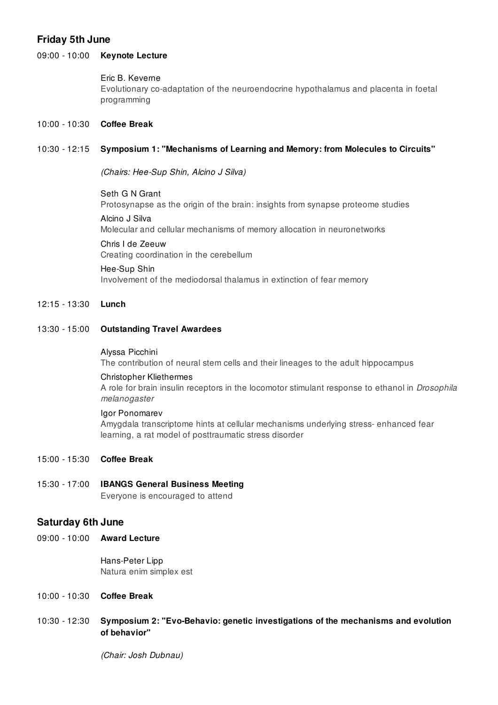# Friday 5th June

# 09:00 - 10:00 **Keynote Lecture**

#### Eric B. Keverne

Evolutionary co-adaptation of the neuroendocrine hypothalamus and placenta in foetal programming

## 10:00 - 10:30 Coffee Break

## 10:30 - 12:15 Symposium 1: "Mechanisms of Learning and Memory: from Molecules to Circuits"

(Chairs: Hee-Sup Shin, Alcino J Silva)

# Seth G N Grant

Protosynapse as the origin of the brain: insights from synapse proteome studies

Alcino J Silva

Molecular and cellular mechanisms of memory allocation in neuronetworks

# Chris I de Zeeuw

Creating coordination in the cerebellum

#### Hee-Sup Shin

Involvement of the mediodorsal thalamus in extinction of fear memory

#### 12:15 - 13:30 Lunch

#### 13:30 - 15:00 Outstanding Travel Awardees

#### Alyssa Picchini

The contribution of neural stem cells and their lineages to the adult hippocampus

#### Christopher Kliethermes

A role for brain insulin receptors in the locomotor stimulant response to ethanol in *Drosophila* melanogaster

#### Igor Ponomarev

Amygdala transcriptome hints at cellular mechanisms underlying stress- enhanced fear learning, a rat model of posttraumatic stress disorder

15:00 - 15:30 Coffee Break

# 15:30 - 17:00 IBANGS General Business Meeting

Everyone is encouraged to attend

# Saturday 6th June

09:00 - 10:00 Award Lecture

Hans-Peter Lipp Natura enim simplex est

# 10:00 - 10:30 Coffee Break

# 10:30 - 12:30 Symposium 2: "Evo-Behavio: genetic investigations of the mechanisms and evolution of behavior"

(Chair: Josh Dubnau)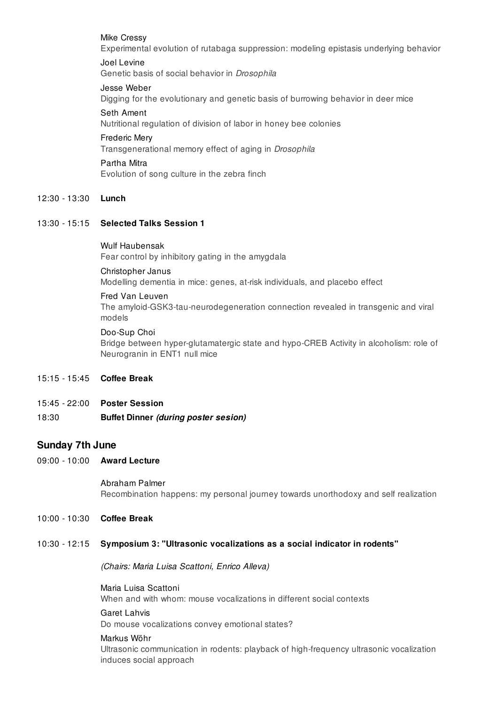#### Mike Cressy

Experimental evolution of rutabaga suppression: modeling epistasis underlying behavior

#### Joel Levine

Genetic basis of social behavior in Drosophila

#### Jesse Weber

Digging for the evolutionary and genetic basis of burrowing behavior in deer mice

## Seth Ament

Nutritional regulation of division of labor in honey bee colonies

#### Frederic Mery

Transgenerational memory effect of aging in Drosophila

#### Partha Mitra

Evolution of song culture in the zebra finch

# 12:30 - 13:30 Lunch

# 13:30 - 15:15 Selected Talks Session 1

#### Wulf Haubensak Fear control by inhibitory gating in the amygdala

#### Christopher Janus

Modelling dementia in mice: genes, at-risk individuals, and placebo effect

#### Fred Van Leuven

The amyloid-GSK3-tau-neurodegeneration connection revealed in transgenic and viral models

#### Doo-Sup Choi

Bridge between hyper-glutamatergic state and hypo-CREB Activity in alcoholism: role of Neurogranin in ENT1 null mice

# 15:15 - 15:45 Coffee Break

15:45 - 22:00 Poster Session

# 18:30 Buffet Dinner (during poster sesion)

# Sunday 7th June

09:00 - 10:00 Award Lecture

#### Abraham Palmer

Recombination happens: my personal journey towards unorthodoxy and self realization

# 10:00 - 10:30 Coffee Break

# 10:30 - 12:15 Symposium 3: "Ultrasonic vocalizations as a social indicator in rodents"

(Chairs: Maria Luisa Scattoni, Enrico Alleva)

#### Maria Luisa Scattoni When and with whom: mouse vocalizations in different social contexts

# Garet Lahvis

Do mouse vocalizations convey emotional states?

#### Markus Wöhr

Ultrasonic communication in rodents: playback of high-frequency ultrasonic vocalization induces social approach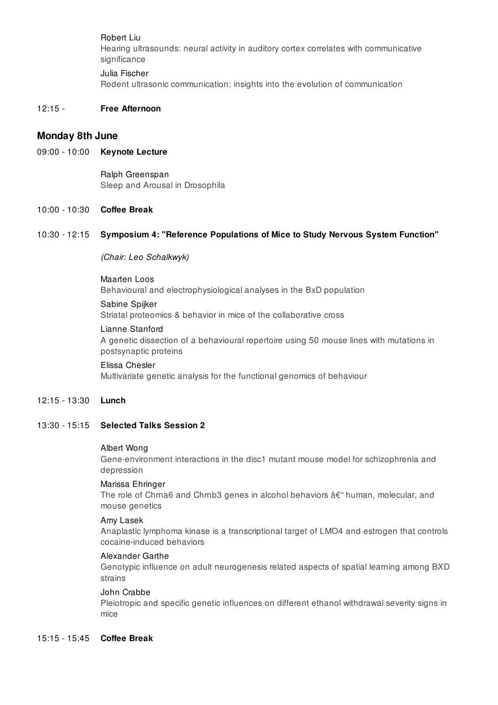Robert Liu

Hearing ultrasounds: neural activity in auditory cortex correlates with communicative significance

Julia Fischer

Rodent ultrasonic communication: insights into the evolution of communication

# 12:15 - Free Afternoon

# Monday 8th June

09:00 - 10:00 **Keynote Lecture** 

Ralph Greenspan Sleep and Arousal in Drosophila

# 10:00 - 10:30 Coffee Break

#### 10:30 - 12:15 Symposium 4: "Reference Populations of Mice to Study Nervous System Function"

(Chair: Leo Schalkwyk)

#### Maarten Loos

Behavioural and electrophysiological analyses in the BxD population

#### Sabine Spijker

Striatal proteomics & behavior in mice of the collaborative cross

#### Lianne Stanford

A genetic dissection of a behavioural repertoire using 50 mouse lines with mutations in postsynaptic proteins

# Elissa Chesler Multivariate genetic analysis for the functional genomics of behaviour

#### 12:15 - 13:30 Lunch

#### 13:30 - 15:15 Selected Talks Session 2

#### Albert Wong

Gene-environment interactions in the disc1 mutant mouse model for schizophrenia and depression

#### Marissa Ehringer

The role of Chrna6 and Chrnb3 genes in alcohol behaviors  $\hat{a} \in \hat{C}$  human, molecular, and mouse genetics

#### Amy Lasek

Anaplastic lymphoma kinase is a transcriptional target of LMO4 and estrogen that controls cocaine-induced behaviors

#### Alexander Garthe

Genotypic influence on adult neurogenesis related aspects of spatial learning among BXD strains

#### John Crabbe

Pleiotropic and specific genetic influences on different ethanol withdrawal severity signs in mice

# 15:15 - 15:45 Coffee Break